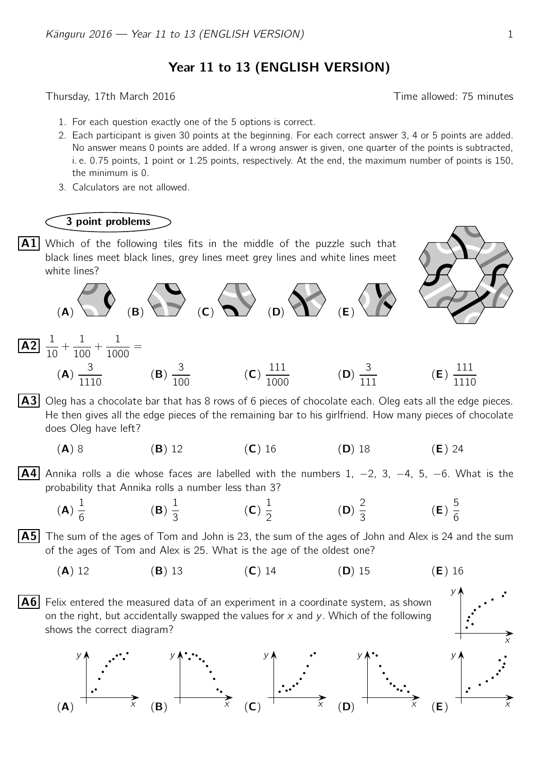Year 11 to 13 (ENGLISH VERSION)

Thursday, 17th March 2016 **Thursday**, 17th March 2016

- 1. For each question exactly one of the 5 options is correct.
- 2. Each participant is given 30 points at the beginning. For each correct answer 3, 4 or 5 points are added. No answer means 0 points are added. If a wrong answer is given, one quarter of the points is subtracted, i. e. 0.75 points, 1 point or 1.25 points, respectively. At the end, the maximum number of points is 150, the minimum is 0.
- 3. Calculators are not allowed.

## 3 point problems

1

 $\overline{\mathsf{A2}}$   $^{-1}$ 

1

 $|A1|$  Which of the following tiles fits in the middle of the puzzle such that black lines meet black lines, grey lines meet grey lines and white lines meet white lines?





y

$$
\frac{1}{10} + \frac{1}{100} + \frac{1}{1000} =
$$
\n
$$
\textbf{(A)} \frac{3}{1110} \qquad \textbf{(B)} \frac{3}{100} \qquad \textbf{(C)} \frac{111}{1000} \qquad \textbf{(D)} \frac{3}{111} \qquad \textbf{(E)} \frac{111}{1110}
$$

 $|A3|$  Oleg has a chocolate bar that has 8 rows of 6 pieces of chocolate each. Oleg eats all the edge pieces. He then gives all the edge pieces of the remaining bar to his girlfriend. How many pieces of chocolate does Oleg have left?

(A) 8 (B) 12 (C) 16 (D) 18 (E) 24

**A4** Annika rolls a die whose faces are labelled with the numbers 1,  $-2$ , 3,  $-4$ , 5,  $-6$ . What is the probability that Annika rolls a number less than 3?

(A) 1 6 (B) 1 3 (C) 1 2 (D) 2 3 (E) 5 6

 $|A5|$  The sum of the ages of Tom and John is 23, the sum of the ages of John and Alex is 24 and the sum of the ages of Tom and Alex is 25. What is the age of the oldest one?

(A) 12 (B) 13 (C) 14 (D) 15 (E) 16



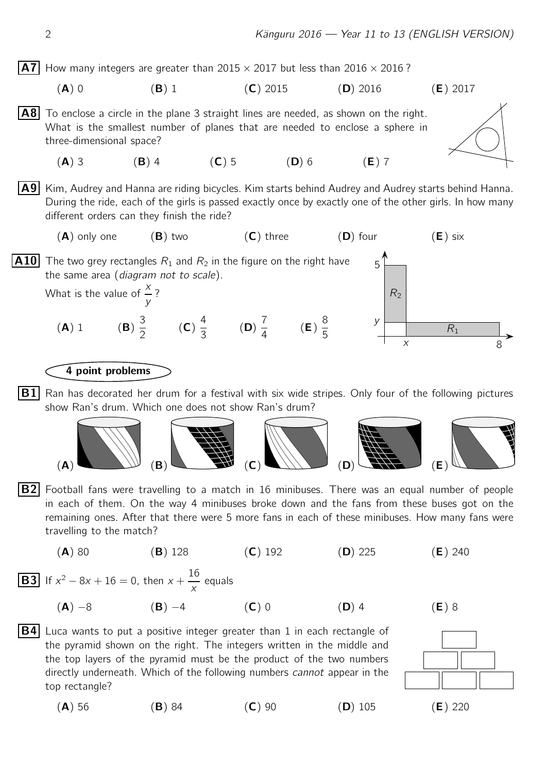

- (A) 0 (B) 1 (C) 2015 (D) 2016 (E) 2017
- $|AB|$  To enclose a circle in the plane 3 straight lines are needed, as shown on the right. What is the smallest number of planes that are needed to enclose a sphere in three-dimensional space? (A) 3 (B) 4 (C) 5 (D) 6 (E) 7

A9 Kim, Audrey and Hanna are riding bicycles. Kim starts behind Audrey and Audrey starts behind Hanna. During the ride, each of the girls is passed exactly once by exactly one of the other girls. In how many different orders can they finish the ride?



## 4 point problems

 $|B1|$  Ran has decorated her drum for a festival with six wide stripes. Only four of the following pictures show Ran's drum. Which one does not show Ran's drum?



 $|B2|$  Football fans were travelling to a match in 16 minibuses. There was an equal number of people in each of them. On the way 4 minibuses broke down and the fans from these buses got on the remaining ones. After that there were 5 more fans in each of these minibuses. How many fans were travelling to the match?

$$
(A) 80 \t\t (B) 128 \t\t (C) 192 \t\t (D) 225 \t\t (E) 240
$$

**B3** If 
$$
x^2 - 8x + 16 = 0
$$
, then  $x + \frac{16}{x}$  equals

top rectangle?

$$
(A) -8 \t\t (B) -4 \t\t (C) 0 \t\t (D) 4 \t\t (E) 8
$$

 $|B4|$  Luca wants to put a positive integer greater than 1 in each rectangle of

the pyramid shown on the right. The integers written in the middle and the top layers of the pyramid must be the product of the two numbers directly underneath. Which of the following numbers cannot appear in the



(A) 56 (B) 84 (C) 90 (D) 105 (E) 220

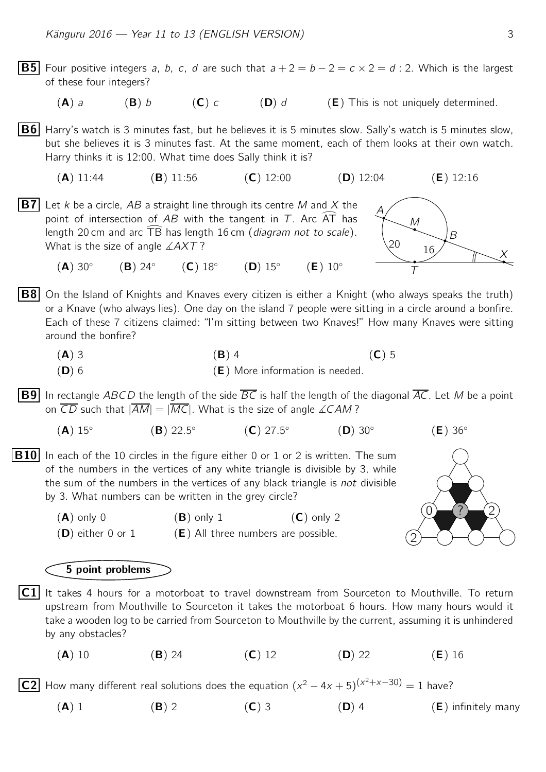- **B5** Four positive integers a, b, c, d are such that  $a + 2 = b 2 = c \times 2 = d$ : 2. Which is the largest of these four integers? (A) a (B) b (C) c (D) d (E) This is not uniquely determined.  $|B6|$  Harry's watch is 3 minutes fast, but he believes it is 5 minutes slow. Sally's watch is 5 minutes slow, but she believes it is 3 minutes fast. At the same moment, each of them looks at their own watch. Harry thinks it is 12:00. What time does Sally think it is? (A) 11:44 (B) 11:56 (C) 12:00 (D) 12:04 (E) 12:16  $\overline{\phantom{a}}$ A M  $\overline{\phantom{a}}$  $\overline{\phantom{0}}$ T  $\overline{B}$  $\times$  $\ddot{}$ <sup>20</sup> <sup>16</sup> **B7** Let *k* be a circle, AB a straight line through its centre *M* and *X* the point of intersection of AB with the tangent in T. Arc  $\widehat{AT}$  has point of intersection of  $AB$  with the tangent in  $T$ . Arc AT has Let A be a circle, AD a straight line emodyn its centre *M* and *X* the<br>point of intersection of AB with the tangent in *T*. Arc  $\overline{AT}$  has<br>length 20 cm and arc  $\overline{TB}$  has length 16 cm (*diagram not to scale*). What is the size of angle  $\angle AXT$ ?  $(A)$  30 $^{\circ}$  $(B)$  24 $\circ$  $(C)$  18 $^{\circ}$  $(D)$  15°  $(E)$  10 $^{\circ}$ **B8** On the Island of Knights and Knaves every citizen is either a Knight (who always speaks the truth) or a Knave (who always lies). One day on the island 7 people were sitting in a circle around a bonfire. Each of these 7 citizens claimed: "I'm sitting between two Knaves!" How many Knaves were sitting around the bonfire? (A) 3 (B) 4 (C) 5  $(D)$  6 (D) 6 (E) More information is needed. **B9** In rectangle ABCD the length of the side  $\overline{BC}$  is half the length of the diagonal  $\overline{AC}$ . Let M be a point on  $\overline{CD}$  such that  $|\overline{AM}| = |\overline{MC}|$ . What is the size of angle ∠CAM?  $(A)$  15°  $(B) 22.5^{\circ}$  $(C) 27.5^{\circ}$  $(D)$  30 $\circ$  $(E)$  36 $^{\circ}$ 2  $0$  (?) (2)  $|B10|$  In each of the 10 circles in the figure either 0 or 1 or 2 is written. The sum of the numbers in the vertices of any white triangle is divisible by 3, while the sum of the numbers in the vertices of any black triangle is *not* divisible by 3. What numbers can be written in the grey circle?  $(A)$  only 0  $(B)$  only 1  $(C)$  only 2  $(D)$  either 0 or 1  $(E)$  All three numbers are possible. 5 point problems  $|C1|$  It takes 4 hours for a motorboat to travel downstream from Sourceton to Mouthville. To return upstream from Mouthville to Sourceton it takes the motorboat 6 hours. How many hours would it take a wooden log to be carried from Sourceton to Mouthville by the current, assuming it is unhindered by any obstacles? (A) 10 (B) 24 (C) 12 (D) 22 (E) 16 C2 How many different real solutions does the equation  $(x^2 - 4x + 5)^{(x^2 + x - 30)} = 1$  have?
	- (A) 1 (B) 2 (C) 3 (D) 4 (E) infinitely many